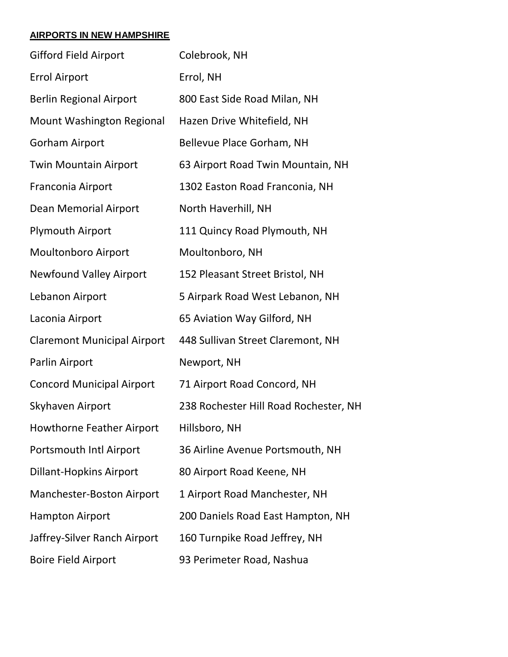## **AIRPORTS IN NEW HAMPSHIRE**

| <b>Gifford Field Airport</b>       | Colebrook, NH                         |  |
|------------------------------------|---------------------------------------|--|
| <b>Errol Airport</b>               | Errol, NH                             |  |
| <b>Berlin Regional Airport</b>     | 800 East Side Road Milan, NH          |  |
| <b>Mount Washington Regional</b>   | Hazen Drive Whitefield, NH            |  |
| <b>Gorham Airport</b>              | Bellevue Place Gorham, NH             |  |
| <b>Twin Mountain Airport</b>       | 63 Airport Road Twin Mountain, NH     |  |
| Franconia Airport                  | 1302 Easton Road Franconia, NH        |  |
| <b>Dean Memorial Airport</b>       | North Haverhill, NH                   |  |
| <b>Plymouth Airport</b>            | 111 Quincy Road Plymouth, NH          |  |
| <b>Moultonboro Airport</b>         | Moultonboro, NH                       |  |
| <b>Newfound Valley Airport</b>     | 152 Pleasant Street Bristol, NH       |  |
| Lebanon Airport                    | 5 Airpark Road West Lebanon, NH       |  |
| Laconia Airport                    | 65 Aviation Way Gilford, NH           |  |
| <b>Claremont Municipal Airport</b> | 448 Sullivan Street Claremont, NH     |  |
| Parlin Airport                     | Newport, NH                           |  |
| <b>Concord Municipal Airport</b>   | 71 Airport Road Concord, NH           |  |
| Skyhaven Airport                   | 238 Rochester Hill Road Rochester, NH |  |
| <b>Howthorne Feather Airport</b>   | Hillsboro, NH                         |  |
| Portsmouth Intl Airport            | 36 Airline Avenue Portsmouth, NH      |  |
| <b>Dillant-Hopkins Airport</b>     | 80 Airport Road Keene, NH             |  |
| Manchester-Boston Airport          | 1 Airport Road Manchester, NH         |  |
| <b>Hampton Airport</b>             | 200 Daniels Road East Hampton, NH     |  |
| Jaffrey-Silver Ranch Airport       | 160 Turnpike Road Jeffrey, NH         |  |
| <b>Boire Field Airport</b>         | 93 Perimeter Road, Nashua             |  |